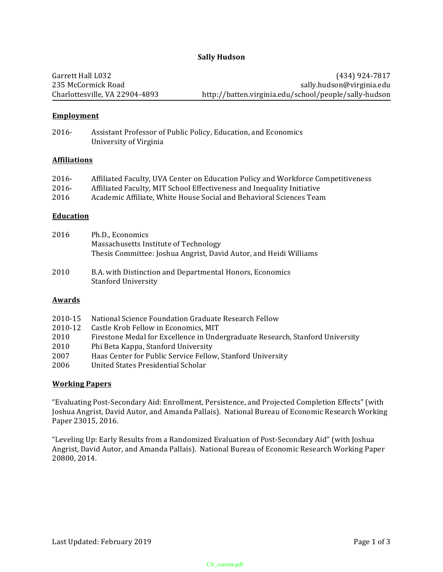# **Sally Hudson**

Garrett Hall L032 (434) 124-7817 235 McCormick Road sally.hudson@virginia.edu Charlottesville, VA 22904-4893 http://batten.virginia.edu/school/people/sally-hudson

#### **Employment**

2016- Assistant Professor of Public Policy, Education, and Economics University of Virginia

#### **Affiliations**

| $2016 -$ | Affiliated Faculty, UVA Center on Education Policy and Workforce Competitiveness |
|----------|----------------------------------------------------------------------------------|
| 2016-    | Affiliated Faculty, MIT School Effectiveness and Inequality Initiative           |
| 2016     | Academic Affiliate, White House Social and Behavioral Sciences Team              |

# **Education**

| 2016 | Ph.D., Economics                                                                       |
|------|----------------------------------------------------------------------------------------|
|      | Massachusetts Institute of Technology                                                  |
|      | Thesis Committee: Joshua Angrist, David Autor, and Heidi Williams                      |
| 2010 | B.A. with Distinction and Departmental Honors, Economics<br><b>Stanford University</b> |

#### **Awards**

| 2010-15 | National Science Foundation Graduate Research Fellow                          |
|---------|-------------------------------------------------------------------------------|
| 2010-12 | Castle Krob Fellow in Economics. MIT                                          |
| 2010    | Firestone Medal for Excellence in Undergraduate Research, Stanford University |
| 2010    | Phi Beta Kappa, Stanford University                                           |
| 2007    | Haas Center for Public Service Fellow, Stanford University                    |
| 2006    | United States Presidential Scholar                                            |

# **Working Papers**

"Evaluating Post-Secondary Aid: Enrollment, Persistence, and Projected Completion Effects" (with Joshua Angrist, David Autor, and Amanda Pallais). National Bureau of Economic Research Working Paper 23015, 2016.

"Leveling Up: Early Results from a Randomized Evaluation of Post-Secondary Aid" (with Joshua Angrist, David Autor, and Amanda Pallais). National Bureau of Economic Research Working Paper 20800, 2014.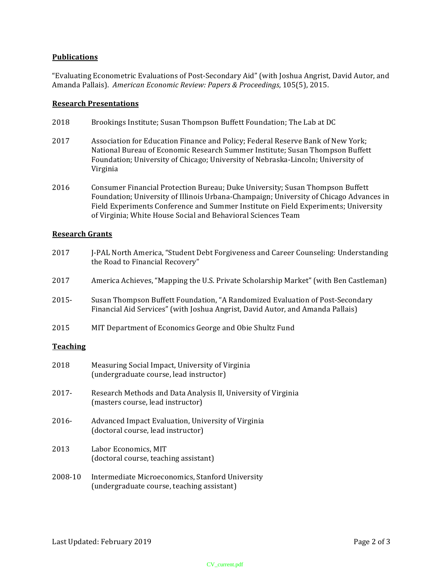# **Publications**

"Evaluating Econometric Evaluations of Post-Secondary Aid" (with Joshua Angrist, David Autor, and Amanda Pallais). American Economic Review: Papers & Proceedings, 105(5), 2015.

# **Research Presentations**

- 2018 Brookings Institute; Susan Thompson Buffett Foundation; The Lab at DC
- 2017 Association for Education Finance and Policy; Federal Reserve Bank of New York; National Bureau of Economic Research Summer Institute; Susan Thompson Buffett Foundation; University of Chicago; University of Nebraska-Lincoln; University of Virginia
- 2016 Consumer Financial Protection Bureau; Duke University; Susan Thompson Buffett Foundation; University of Illinois Urbana-Champaign; University of Chicago Advances in Field Experiments Conference and Summer Institute on Field Experiments; University of Virginia; White House Social and Behavioral Sciences Team

# **Research Grants**

- 2017 J-PAL North America, "Student Debt Forgiveness and Career Counseling: Understanding the Road to Financial Recovery"
- 2017 America Achieves, "Mapping the U.S. Private Scholarship Market" (with Ben Castleman)
- 2015- Susan Thompson Buffett Foundation, "A Randomized Evaluation of Post-Secondary Financial Aid Services" (with Joshua Angrist, David Autor, and Amanda Pallais)
- 2015 MIT Department of Economics George and Obie Shultz Fund

# **Teaching**

| 2018    | Measuring Social Impact, University of Virginia<br>(undergraduate course, lead instructor)         |
|---------|----------------------------------------------------------------------------------------------------|
| 2017-   | Research Methods and Data Analysis II, University of Virginia<br>(masters course, lead instructor) |
| 2016-   | Advanced Impact Evaluation, University of Virginia<br>(doctoral course, lead instructor)           |
| 2013    | Labor Economics, MIT<br>(doctoral course, teaching assistant)                                      |
| 2008-10 | Intermediate Microeconomics, Stanford University<br>(undergraduate course, teaching assistant)     |